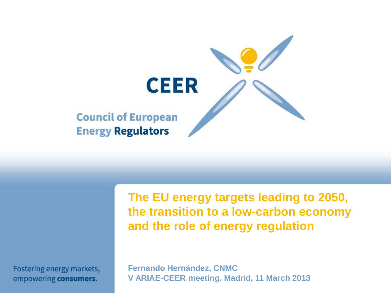

Fostering energy markets, empowering consumers.

**The EU energy targets leading to 2050, the transition to a low-carbon economy and the role of energy regulation**

**Fernando Hernández, CNMC V ARIAE-CEER meeting. Madrid, 11 March 2013**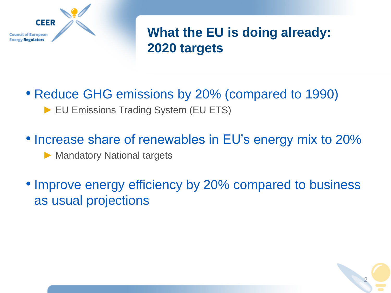

**What the EU is doing already: 2020 targets**

# • Reduce GHG emissions by 20% (compared to 1990)

► EU Emissions Trading System (EU ETS)

- Increase share of renewables in EU's energy mix to 20% ► Mandatory National targets
- Improve energy efficiency by 20% compared to business as usual projections

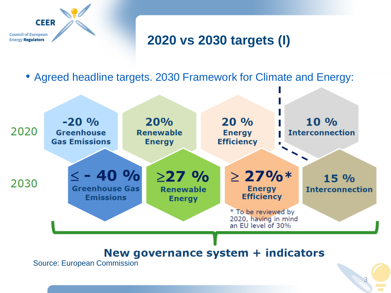

# **2020 vs 2030 targets (I)**

• Agreed headline targets. 2030 Framework for Climate and Energy:

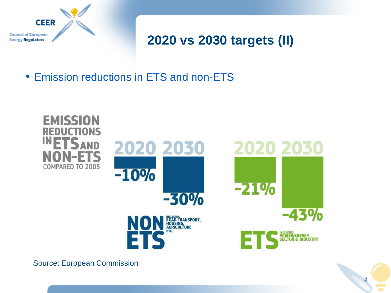

# **2020 vs 2030 targets (II)**

• Emission reductions in ETS and non-ETS





Source: European Commission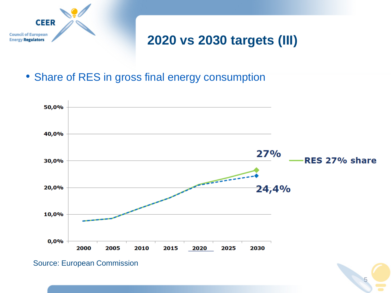

# **2020 vs 2030 targets (III)**

• Share of RES in gross final energy consumption



5

Source: European Commission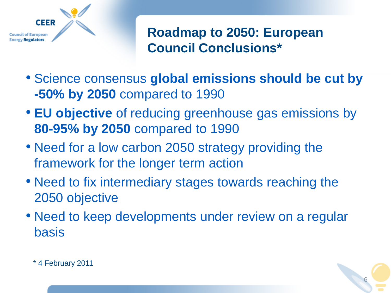

**Roadmap to 2050: European Council Conclusions\***

- Science consensus **global emissions should be cut by -50% by 2050** compared to 1990
- **EU objective** of reducing greenhouse gas emissions by **80-95% by 2050** compared to 1990
- Need for a low carbon 2050 strategy providing the framework for the longer term action
- Need to fix intermediary stages towards reaching the 2050 objective
- Need to keep developments under review on a regular basis



\* 4 February 2011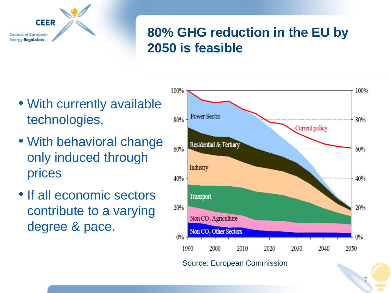

# **80% GHG reduction in the EU by 2050 is feasible**

- With currently available technologies,
- With behavioral change only induced through prices
- If all economic sectors contribute to a varying degree & pace.

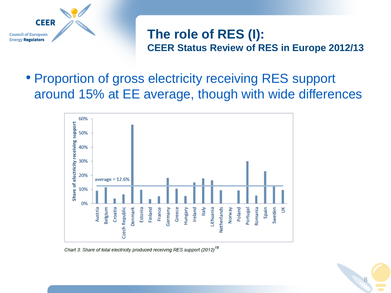

#### **The role of RES (I): CEER Status Review of RES in Europe 2012/13**

• Proportion of gross electricity receiving RES support around 15% at EE average, though with wide differences



Chart 3: Share of total electricity produced receiving RES support (2012)<sup>19</sup>

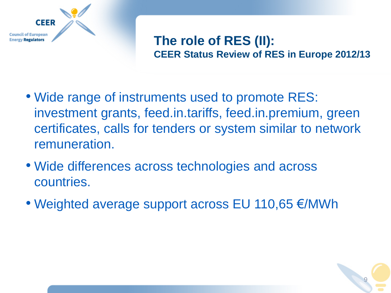

#### **The role of RES (II): CEER Status Review of RES in Europe 2012/13**

- Wide range of instruments used to promote RES: investment grants, feed.in.tariffs, feed.in.premium, green certificates, calls for tenders or system similar to network remuneration.
- Wide differences across technologies and across countries.
- Weighted average support across EU 110,65 €/MWh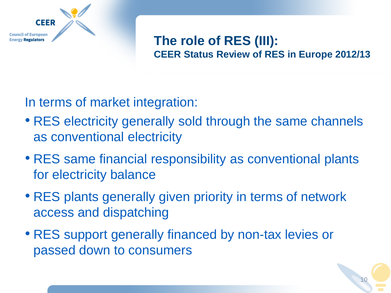

#### **The role of RES (III): CEER Status Review of RES in Europe 2012/13**

In terms of market integration:

- RES electricity generally sold through the same channels as conventional electricity
- RES same financial responsibility as conventional plants for electricity balance
- RES plants generally given priority in terms of network access and dispatching
- RES support generally financed by non-tax levies or passed down to consumers

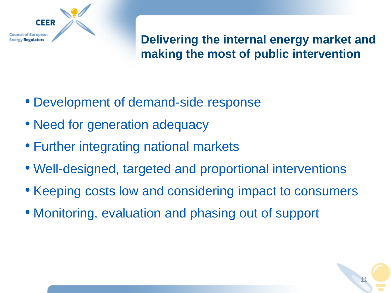

#### **Delivering the internal energy market and making the most of public intervention**

- Development of demand-side response
- Need for generation adequacy
- Further integrating national markets
- Well-designed, targeted and proportional interventions
- Keeping costs low and considering impact to consumers
- Monitoring, evaluation and phasing out of support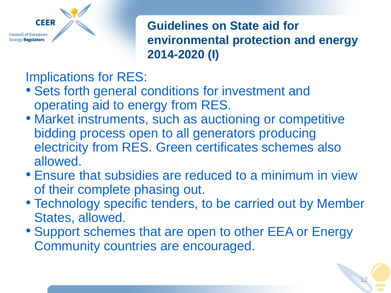

**Guidelines on State aid for environmental protection and energy 2014-2020 (I)**

Implications for RES:

- Sets forth general conditions for investment and operating aid to energy from RES.
- Market instruments, such as auctioning or competitive bidding process open to all generators producing electricity from RES. Green certificates schemes also allowed.
- Ensure that subsidies are reduced to a minimum in view of their complete phasing out.
- Technology specific tenders, to be carried out by Member States, allowed.
- Support schemes that are open to other EEA or Energy Community countries are encouraged.

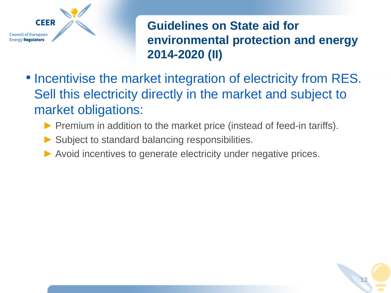

**Guidelines on State aid for environmental protection and energy 2014-2020 (II)**

- Incentivise the market integration of electricity from RES. Sell this electricity directly in the market and subject to market obligations:
	- ► Premium in addition to the market price (instead of feed-in tariffs).
	- ► Subject to standard balancing responsibilities.
	- ► Avoid incentives to generate electricity under negative prices.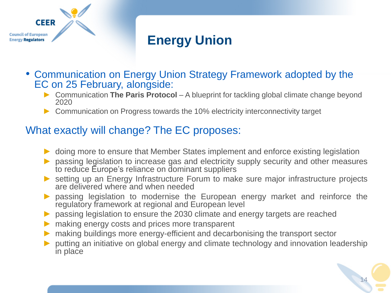

# **Energy Union**

- Communication on Energy Union Strategy Framework adopted by the EC on 25 February, alongside:
	- ► Communication **The Paris Protocol**  A blueprint for tackling global climate change beyond 2020
	- ► Communication on Progress towards the 10% electricity interconnectivity target

#### What exactly will change? The EC proposes:

- ► doing more to ensure that Member States implement and enforce existing legislation
- passing legislation to increase gas and electricity supply security and other measures to reduce Europe's reliance on dominant suppliers
- ► setting up an Energy Infrastructure Forum to make sure major infrastructure projects are delivered where and when needed
- ► passing legislation to modernise the European energy market and reinforce the regulatory framework at regional and European level
- ► passing legislation to ensure the 2030 climate and energy targets are reached
- $\triangleright$  making energy costs and prices more transparent
- ► making buildings more energy-efficient and decarbonising the transport sector
- putting an initiative on global energy and climate technology and innovation leadership in place

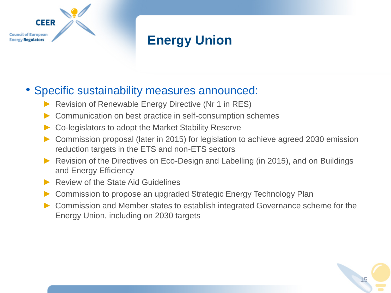

# **Energy Union**

#### • Specific sustainability measures announced:

- Revision of Renewable Energy Directive (Nr 1 in RES)
- Communication on best practice in self-consumption schemes
- Co-legislators to adopt the Market Stability Reserve
- Commission proposal (later in 2015) for legislation to achieve agreed 2030 emission reduction targets in the ETS and non-ETS sectors
- ► Revision of the Directives on Eco-Design and Labelling (in 2015), and on Buildings and Energy Efficiency
- ▶ Review of the State Aid Guidelines
- Commission to propose an upgraded Strategic Energy Technology Plan
- ► Commission and Member states to establish integrated Governance scheme for the Energy Union, including on 2030 targets

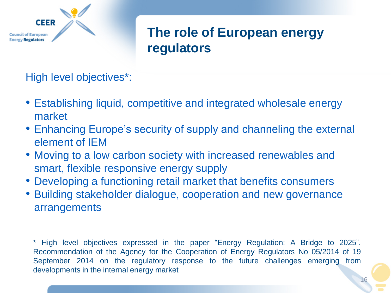

# **The role of European energy regulators**

High level objectives\*:

- Establishing liquid, competitive and integrated wholesale energy market
- Enhancing Europe's security of supply and channeling the external element of IEM
- Moving to a low carbon society with increased renewables and smart, flexible responsive energy supply
- Developing a functioning retail market that benefits consumers
- Building stakeholder dialogue, cooperation and new governance arrangements

\* High level objectives expressed in the paper "Energy Regulation: A Bridge to 2025". Recommendation of the Agency for the Cooperation of Energy Regulators No 05/2014 of 19 September 2014 on the regulatory response to the future challenges emerging from developments in the internal energy market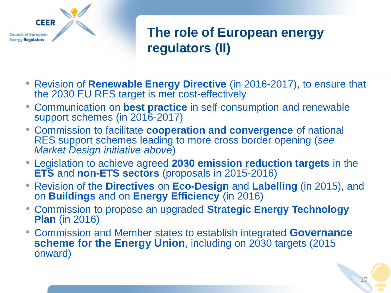

# **The role of European energy regulators (II)**

- Revision of **Renewable Energy Directive** (in 2016-2017), to ensure that the 2030 EU RES target is met cost-effectively
- Communication on **best practice** in self-consumption and renewable support schemes (in 2016-2017)
- Commission to facilitate **cooperation and convergence** of national RES support schemes leading to more cross border opening (*see Market Design initiative above*)
- Legislation to achieve agreed **2030 emission reduction targets** in the **ETS** and **non-ETS sectors** (proposals in 2015-2016)
- Revision of the **Directives** on **Eco-Design** and **Labelling** (in 2015), and on **Buildings** and on **Energy Efficiency** (in 2016)
- Commission to propose an upgraded **Strategic Energy Technology Plan** (in 2016)
- Commission and Member states to establish integrated **Governance scheme for the Energy Union**, including on 2030 targets (2015 onward)